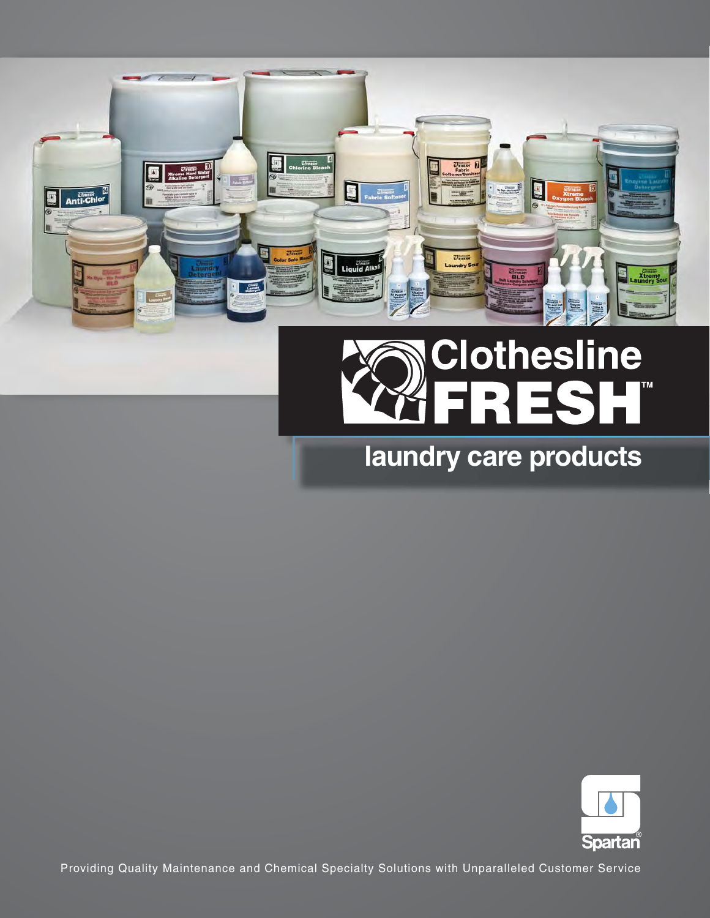

# **Clothesline** TМ **HE**  $\equiv$

# laundry care products



Providing Quality Maintenance and Chemical Specialty Solutions with Unparalleled Customer Service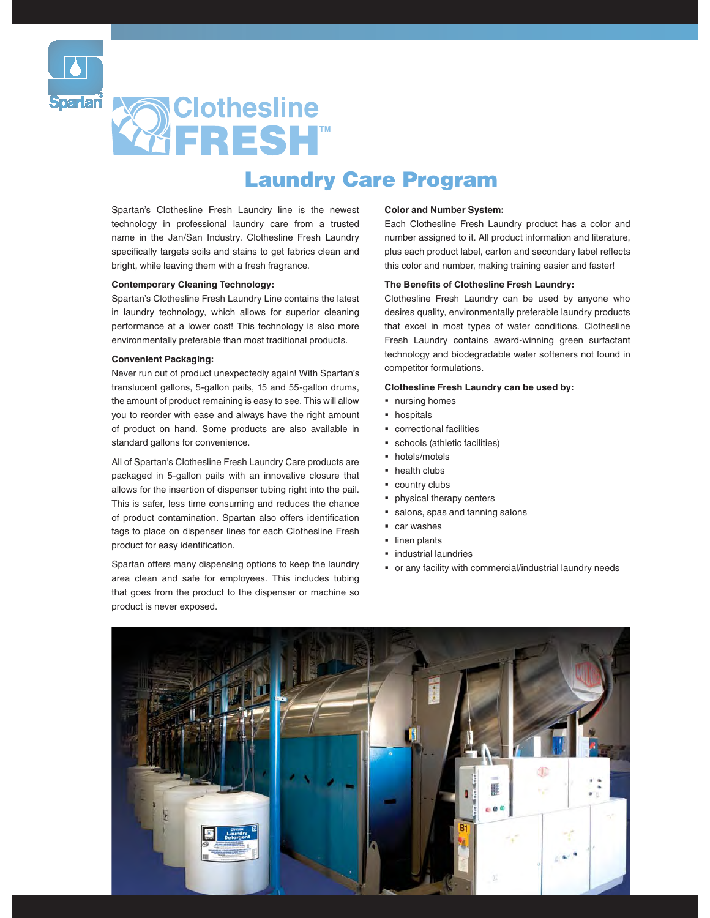

# **N**Clothesline **FRESH**

# Laundry Care Program

Spartan's Clothesline Fresh Laundry line is the newest technology in professional laundry care from a trusted name in the Jan/San Industry. Clothesline Fresh Laundry specifically targets soils and stains to get fabrics clean and bright, while leaving them with a fresh fragrance.

### **Contemporary Cleaning Technology:**

Spartan's Clothesline Fresh Laundry Line contains the latest in laundry technology, which allows for superior cleaning performance at a lower cost! This technology is also more environmentally preferable than most traditional products.

#### **Convenient Packaging:**

Never run out of product unexpectedly again! With Spartan's translucent gallons, 5-gallon pails, 15 and 55-gallon drums, the amount of product remaining is easy to see. This will allow you to reorder with ease and always have the right amount of product on hand. Some products are also a�ailable in standard gallons for convenience.

All of Spartan's Clothesline Fresh Laundry Care products are packaged in 5-gallon pails with an innovative closure that allows for the insertion of dispenser tubing right into the pail. This is safer, less time consuming and reduces the chance of product contamination. Spartan also offers identification tags to place on dispenser lines for each Clothesline Fresh product for easy identification.

Spartan offers many dispensing options to keep the laundry area clean and safe for employees. This includes tubing that goes from the product to the dispenser or machine so product is never exposed.

### **Color and Number System:**

Each Clothesline Fresh Laundry product has a color and number assigned to it. All product information and literature, plus each product label, carton and secondary label refects this color and number, making training easier and faster!

### **The Benefts of Clothesline Fresh Laundry:**

Clothesline Fresh Laundry can be used by anyone who desires quality, environmentally preferable laundry products that excel in most types of water conditions. Clothesline Fresh Laundry contains award-winning green surfactant technology and biodegradable water softeners not found in competitor formulations.

### **Clothesline Fresh Laundry can be used by:**

- $\blacksquare$  nursing homes
- **•** hospitals
- **•** correctional facilities
- � schools (athletic facilities)
- hotels/motels
- health clubs
- country clubs
- physical therapy centers
- � salons, spas and tanning salons
- car washes
- **·** linen plants
- $\blacksquare$  industrial laundries
- � or any facility with commercial/industrial laundry needs

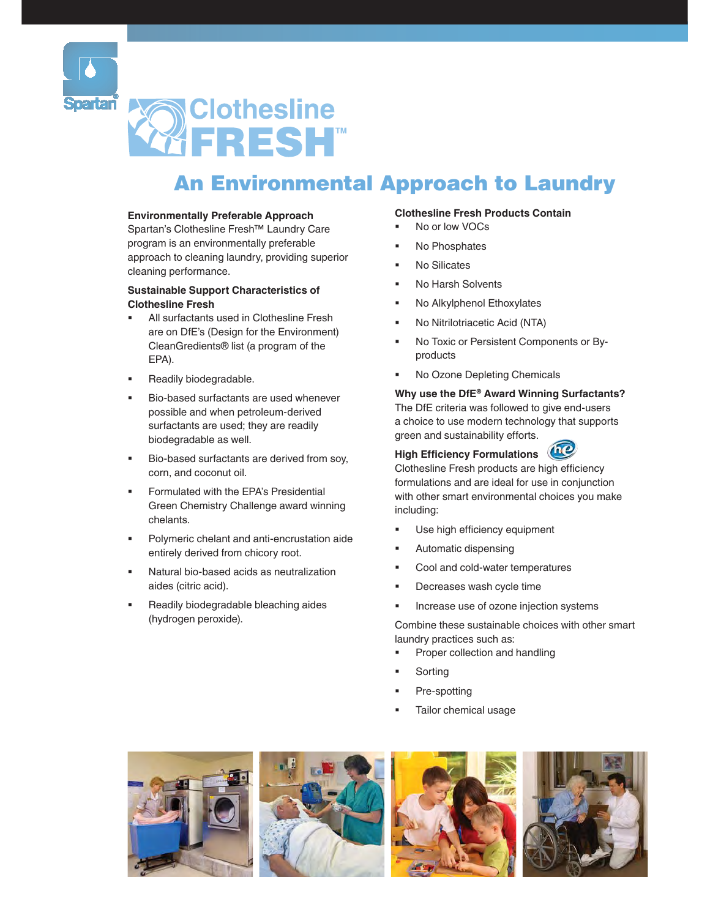

# **Clothesline** FRESH<sup>\*</sup>

# An Environmental Approach to Laundry

### **Environmentally Preferable Approach**

Spartan's Clothesline Fresh™ Laundry Care program is an en�ironmentally preferable approach to cleaning laundry, pro�iding superior cleaning performance.

### **Sustainable Support Characteristics of Clothesline Fresh**

- All surfactants used in Clothesline Fresh are on DfE's (Design for the Environment) CleanGredients® list (a program of the EPA).
- **Readily biodegradable.**
- **Bio-based surfactants are used whenever** possible and when petroleum-deri�ed surfactants are used; they are readily biodegradable as well.
- **Bio-based surfactants are derived from soy,** corn, and coconut oil.
- Green Chemistry Challenge award winning **•** Formulated with the EPA's Presidential chelants.
- � Polymeric chelant and anti-encrustation aide entirely derived from chicory root.
- � Natural bio-based acids as neutralization aides (citric acid).
- **•** Readily biodegradable bleaching aides (hydrogen peroxide).

### **Clothesline Fresh Products Contain**

- No or low VOCs
- No Phosphates
- No Silicates
- No Harsh Solvents
- No Alkylphenol Ethoxylates
- � No Nitrilotriacetic Acid (NTA)
- No Toxic or Persistent Components or Byproducts
- No Ozone Depleting Chemicals

### green and sustainability efforts. **Why use the DfE® Award Winning Surfactants?** The DfE criteria was followed to give end-users a choice to use modern technology that supports

#### 1nC **High Efficiency Formulations**

Clothesline Fresh products are high efficiency formulations and are ideal for use in conjunction with other smart environmental choices you make including:

- Use high efficiency equipment
- Automatic dispensing
- Cool and cold-water temperatures
- Decreases wash cycle time
- � Increase use of ozone injection systems

 Combine these sustainable choices with other smart laundry practices such as:

- Proper collection and handling
- **Sorting**
- Pre-spotting
- Tailor chemical usage







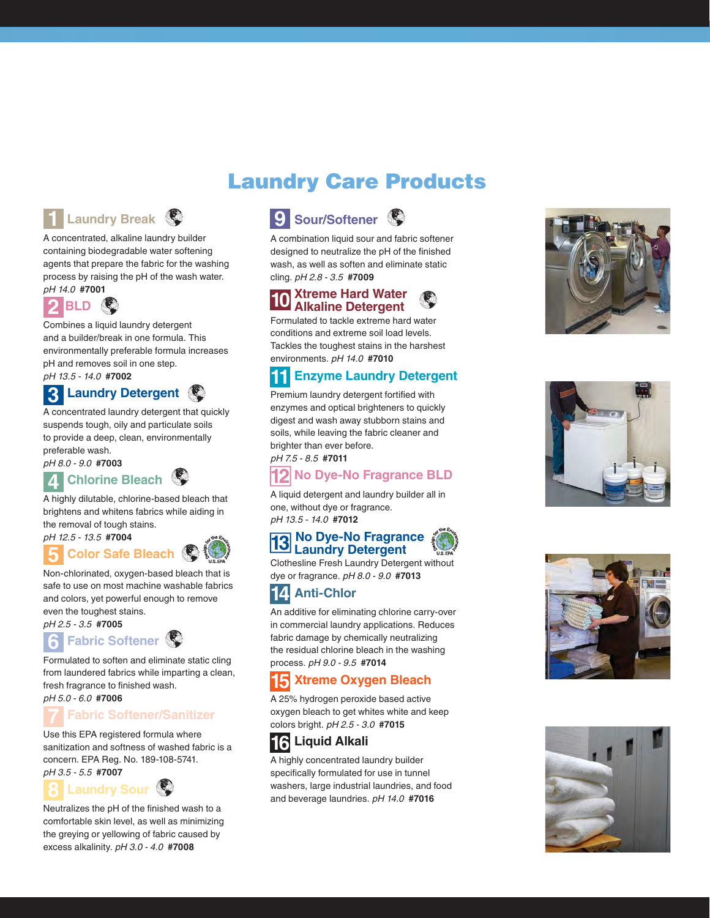# Laundry Care Products



A concentrated, alkaline laundry builder containing biodegradable water softening agents that prepare the fabric for the washing process by raising the pH of the wash water. pH 14.0 **#7001** 



Combines a liquid laundry detergent and a builder/break in one formula. This environmentally preferable formula increases pH and removes soil in one step.

pH 13 5 - 14 0 **#7002**

# **Laundry Detergent 3**

A concentrated laundry detergent that quickly suspends tough, oily and particulate soils to provide a deep, clean, environmentally preferable wash.

pH 8 0 - 9 0 **#7003**

## *A* Chlorine Bleach  $\mathbb{D}$

A highly dilutable, chlorine-based bleach that brightens and whitens fabrics while aiding in the removal of tough stains.



### **Color Safe Bleach @**

Non-chlorinated, oxygen-based bleach that is safe to use on most machine washable fabrics and colors, yet powerful enough to remove even the toughest stains.

## pH 2.5 - 3.5 **#7005**



Formulated to soften and eliminate static cling from laundered fabrics while imparting a clean, fresh fragrance to finished wash. pH 5 0 - 6 0 **#7006**

### **Fabric Softener/Sanitizer 7**

Use this EPA registered formula where sanitization and softness of washed fabric is a concern. EPA Reg. No. 189-108-5741. pH 3 5 - 5 5 **#7007**

## **Laundry Sour**

Neutralizes the pH of the finished wash to a comfortable skin le�el, as well as minimizing the greying or yellowing of fabric caused by excess alkalinity. pH 3.0 - 4.0 #7008



A combination liquid sour and fabric softener designed to neutralize the pH of the finished wash, as well as soften and eliminate static cling. pH 2.8 - 3.5 **#7009** 

# **10** Xtreme Hard Water<br> **10** Alkaline Detergent

Formulated to tackle extreme hard water conditions and extreme soil load levels. Tackles the toughest stains in the harshest environments. pH 14.0 **#7010** 

### **Enzyme Laundry Detergent**

Premium laundry detergent fortifed with enzymes and optical brighteners to quickly digest and wash away stubborn stains and soils, while leaving the fabric cleaner and brighter than ever before. pH 7.5 - 8.5 **#7011** 

## **No Dye-No Fragrance BLD**

A liquid detergent and laundry builder all in one, without dye or fragrance. pH 13.5 - 14.0 **#7012** 

# **13** No Dye-No Fragrance<br>
Laundry Detergent

Clothesline Fresh Laundry Detergent without dye or fragrance. pH 8.0 - 9.0 **#7013** 

## **EM** Anti-Chlor

An additive for eliminating chlorine carry-over in commercial laundry applications. Reduces fabric damage by chemically neutralizing the residual chlorine bleach in the washing process. pH 9.0 - 9.5 **#7014** 

## **Xtreme Oxygen Bleach**

A 25% hydrogen peroxide based active oxygen bleach to get whites white and keep colors bright. pH 2.5 - 3.0 **#7015** 

# **16 Liquid Alkali**

A highly concentrated laundry builder specifically formulated for use in tunnel washers, large industrial laundries, and food and beverage laundries. pH 14.0 #7016







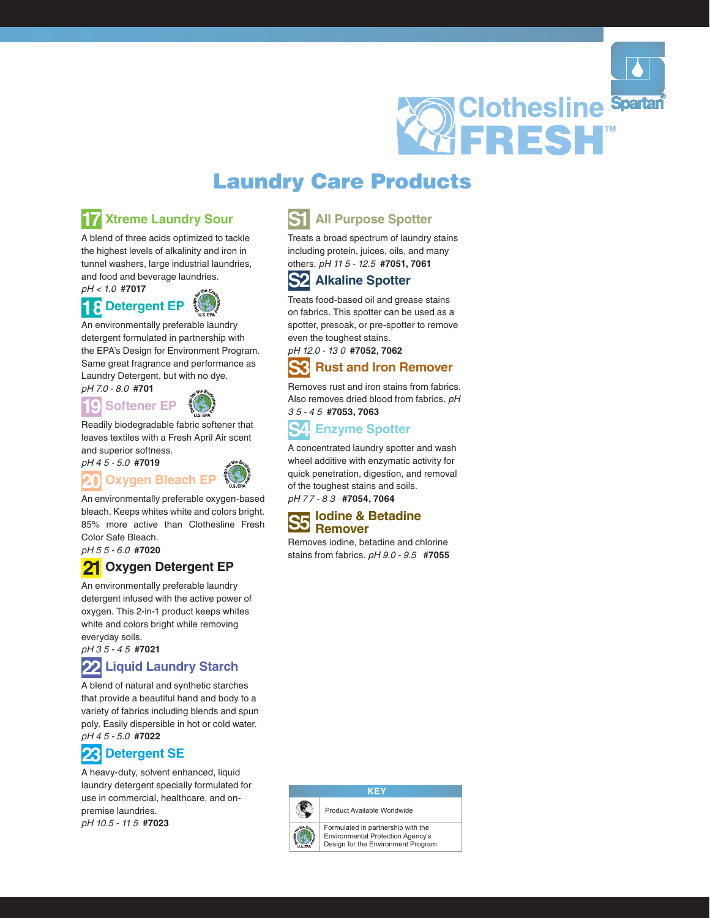

# Laundry Care Products

## **EV** Xtreme Laundry Sour

 tunnel washers, large industrial laundries, A blend of three acids optimized to tackle the highest levels of alkalinity and iron in and food and beverage laundries.

pH < 1.0 #7017



An environmentally preferable laundry detergent formulated in partnership with the EPA's Design for Environment Program. Same great fragrance and performance as Laundry Detergent, but with no dye.





Readily biodegradable fabric softener that leaves textiles with a Fresh April Air scent and superior softness.





An environmentally preferable oxygen-based 85% more active than Clothesline Fresh bleach. Keeps whites white and colors bright. Color Safe Bleach.

pH 5 5 - 6 0 **#7020**

#### **2D Oxygen Detergent EP**

An environmentally preferable laundry detergent infused with the active power of oxygen. This 2-in-1 product keeps whites white and colors bright while removing everyday soils.

pH 3 5 - 4 5 #7021

#### **22 Liquid Laundry Starch**

 pH 4 5 - 5 0 **#7022** A blend of natural and synthetic starches that pro�ide a beautiful hand and body to a �ariety of fabrics including blends and spun poly. Easily dispersible in hot or cold water.

## *PA* Detergent SE

 pH 10 5 - 11 5 **#7023** A heavy-duty, solvent enhanced, liquid laundry detergent specially formulated for use in commercial, healthcare, and onpremise laundries.

### **All Purpose Spotter**

others. pH 11 5 - 12.5 #7051, 7061 Treats a broad spectrum of laundry stains including protein, juices, oils, and many

## **S2 Alkaline Spotter**

Treats food-based oil and grease stains on fabrics. This spotter can be used as a spotter, presoak, or pre-spotter to remove even the toughest stains.

pH 12 0 - 13 0 **#70@2, 7062**

### **Rust and Iron Remover**

 3 5 - 4 5 **#70@3, 7063** Remo�es rust and iron stains from fabrics. Also removes dried blood from fabrics. pH

### **Enzyme Spotter**

pH 77 - 8 3 #**7054, 7064** A concentrated laundry spotter and wash wheel additive with enzymatic activity for quick penetration, digestion, and remo�al of the toughest stains and soils.

#### **Iodine & Betadine Remover**

Remo�es iodine, betadine and chlorine stains from fabrics. pH 9.0 - 9.5 #7055